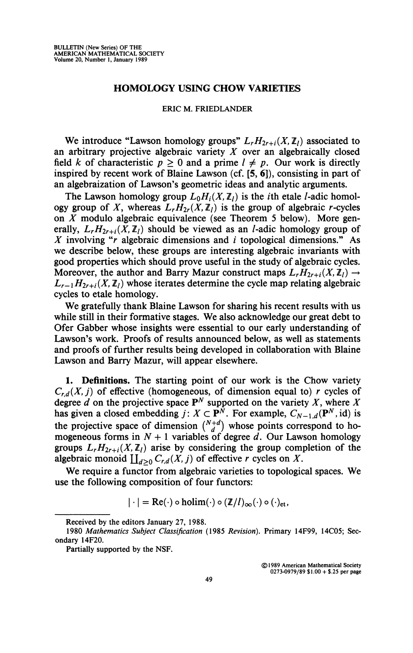## **HOMOLOGY USING CHOW VARIETIES**

## **ERIC M. FRIEDLANDER**

We introduce "Lawson homology groups"  $L_r H_{2r+i}(X, \mathbb{Z}_l)$  associated to an arbitrary projective algebraic variety *X* over an algebraically closed field *k* of characteristic  $p \ge 0$  and a prime  $l \ne p$ . Our work is directly inspired by recent work of Blaine Lawson (cf. [5, 6]), consisting in part of an algebraization of Lawson's geometric ideas and analytic arguments.

The Lawson homology group  $L_0H_i(X, \mathbb{Z}_l)$  is the *i*th etale *l*-adic homology group of X, whereas  $L_r H_{2r}(X, \mathbb{Z}_l)$  is the group of algebraic r-cycles on *X* modulo algebraic equivalence (see Theorem 5 below). More generally,  $L_r H_{2r+i}(X, \mathbb{Z}_l)$  should be viewed as an *l*-adic homology group of *X* involving "*r* algebraic dimensions and *i* topological dimensions." As we describe below, these groups are interesting algebraic invariants with good properties which should prove useful in the study of algebraic cycles. Moreover, the author and Barry Mazur construct maps  $L_r H_{2r+i}(X, \mathbb{Z}_l) \rightarrow$  $L_{r-1}H_{2r+i}(X,\mathbb{Z}_l)$  whose iterates determine the cycle map relating algebraic cycles to etale homology.

We gratefully thank Blaine Lawson for sharing his recent results with us while still in their formative stages. We also acknowledge our great debt to Ofer Gabber whose insights were essential to our early understanding of Lawson's work. Proofs of results announced below, as well as statements and proofs of further results being developed in collaboration with Blaine Lawson and Barry Mazur, will appear elsewhere.

**1. Definitions.** The starting point of our work is the Chow variety  $C_{rd}(X, j)$  of effective (homogeneous, of dimension equal to) *r* cycles of degree *d* on the projective space  $P^N$  supported on the variety *X*, where *X* has given a closed embedding  $j: X \subset \mathbf{P}^N$ . For example,  $C_{N-1,d}(\mathbf{P}^N, id)$  is the projective space of dimension  $\binom{N+d}{d}$  whose points correspond to homogeneous forms in  $N + 1$  variables of degree d. Our Lawson homology groups  $L_r H_{2r+i}(X, \mathbb{Z}_l)$  arise by considering the group completion of the algebraic monoid  $\coprod_{d\geq 0} C_{r,d}(X, j)$  of effective r cycles on X.

We require a functor from algebraic varieties to topological spaces. We use the following composition of four functors:

 $|\cdot| = \text{Re}(\cdot) \circ \text{holim}(\cdot) \circ (\mathbb{Z}/l)_{\infty}(\cdot) \circ (\cdot)_{\text{et}}$ 

**©1989 American Mathematical Society 0273-0979/89 \$1.00 + \$.25 per page** 

**Received by the editors January 27, 1988.** 

**<sup>1980</sup>** *Mathematics Subject Classification* **(1985** *Revision).* **Primary 14F99, 14C05; Secondary 14F20.** 

**Partially supported by the NSF.**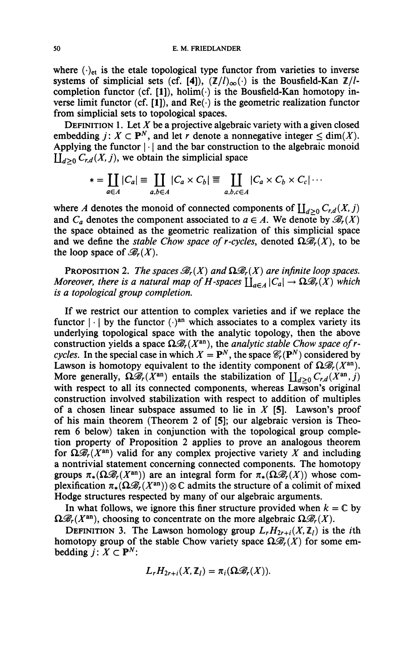where  $(\cdot)_{et}$  is the etale topological type functor from varieties to inverse systems of simplicial sets (cf. [4]),  $(\mathbb{Z}/l)_{\infty}(\cdot)$  is the Bousfield-Kan  $\mathbb{Z}/l$ completion functor (cf.  $[1]$ ), holim( $\cdot$ ) is the Bousfield-Kan homotopy inverse limit functor (cf. [1]), and  $Re(\cdot)$  is the geometric realization functor from simplicial sets to topological spaces.

DEFINITION 1. Let  $X$  be a projective algebraic variety with a given closed embedding  $j: X \subset \mathbf{P}^N$ , and let *r* denote a nonnegative integer  $\leq \dim(X)$ . Applying the functor  $|\cdot|$  and the bar construction to the algebraic monoid  $\coprod_{d\geq 0} C_{r,d}(X,j)$ , we obtain the simplicial space

$$
* = \coprod_{a \in A} |C_a| \equiv \coprod_{a,b \in A} |C_a \times C_b| \equiv \coprod_{a,b,c \in A} |C_a \times C_b \times C_c| \cdots
$$

where *A* denotes the monoid of connected components of  $\coprod_{d\geq 0} C_{r,d}(X, j)$ and  $C_a$  denotes the component associated to  $a \in A$ . We denote by  $\mathcal{B}_r(X)$ the space obtained as the geometric realization of this simplicial space and we define the *stable Chow space of r-cycles*, denoted  $\Omega \mathcal{B}_r(X)$ , to be the loop space of  $\mathcal{B}_r(X)$ .

**PROPOSITION 2.** The spaces  $\mathcal{B}_r(X)$  and  $\Omega \mathcal{B}_r(X)$  are infinite loop spaces. *Moreover, there is a natural map of H-spaces*  $\prod_{a \in A} |C_a| \to \Omega \mathcal{B}_r(X)$  which *is a topological group completion.* 

If we restrict our attention to complex varieties and if we replace the functor  $|\cdot|$  by the functor  $(\cdot)^{an}$  which associates to a complex variety its underlying topological space with the analytic topology, then the above construction yields a space  $\Omega \mathcal{B}_r(X^{\text{an}})$ , the *analytic stable Chow space of rcycles.* In the special case in which  $X = \mathbf{P}^N$ , the space  $\mathcal{C}_r(\mathbf{P}^N)$  considered by Lawson is homotopy equivalent to the identity component of  $\Omega \mathcal{B}_r(X^{\text{an}})$ . More generally,  $\Omega \mathscr{B}_r(\hat{X}^{\text{an}})$  entails the stabilization of  $\prod_{d>0} C_{r,d}(\hat{X}^{\text{an}},j)$ with respect to all its connected components, whereas Lawson's original construction involved stabilization with respect to addition of multiples of a chosen linear subspace assumed to lie in *X* [5]. Lawson's proof of his main theorem (Theorem 2 of [5]; our algebraic version is Theorem 6 below) taken in conjunction with the topological group completion property of Proposition 2 applies to prove an analogous theorem for  $\Omega \mathscr{B}_r(X^{\text{an}})$  valid for any complex projective variety X and including a nontrivial statement concerning connected components. The homotopy groups  $\pi_*(\Omega \mathcal{B}_r(X^{\text{an}}))$  are an integral form for  $\pi_*(\Omega \mathcal{B}_r(X))$  whose complexification  $\pi_*(\Omega\mathcal{B}_r(X^{\rm an})\otimes\mathbb{C}$  admits the structure of a colimit of mixed Hodge structures respected by many of our algebraic arguments.

In what follows, we ignore this finer structure provided when  $k = \mathbb{C}$  by  $\Omega \mathscr{B}_r(X^{\text{an}})$ , choosing to concentrate on the more algebraic  $\Omega \mathscr{B}_r(X)$ .

**DEFINITION** 3. The Lawson homology group  $L_r H_{2r+i}(X, \mathbb{Z}_l)$  is the *i*th homotopy group of the stable Chow variety space  $\Omega \mathcal{B}_{r}(X)$  for some embedding  $i: X \subset \mathbf{P}^N$ :

$$
L_r H_{2r+i}(X,\mathbb{Z}_l)=\pi_i(\Omega \mathscr{B}_r(X)).
$$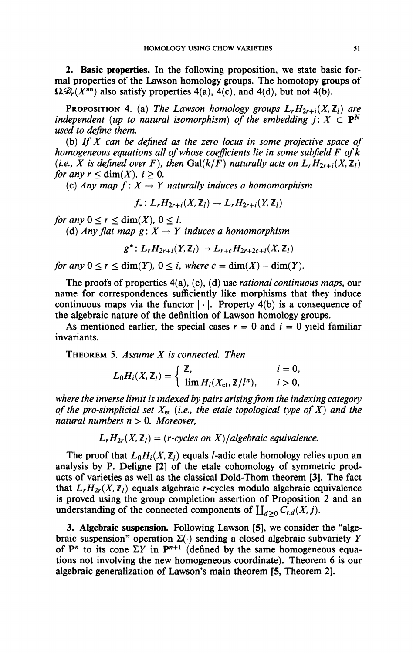**2. Basic properties.** In the following proposition, we state basic formal properties of the Lawson homology groups. The homotopy groups of  $\Omega \mathcal{B}_r(X^{\text{an}})$  also satisfy properties 4(a), 4(c), and 4(d), but not 4(b).

PROPOSITION 4. (a) The Lawson homology groups  $L_r H_{2r+i}(X, \mathbb{Z}_l)$  are *independent (up to natural isomorphism) of the embedding*  $j: X \subset \mathbf{P}^N$ *used to define them.* 

(b) *If X can be defined as the zero locus in some projective space of homogeneous equations all of whose coefficients lie in some subfield F ofk (i.e., X is defined over F), then Gal(k/F) naturally acts on*  $L_r H_{2r+i}(X, \mathbb{Z}_l)$ *for any r*  $\lt$  dim(*X*), *i*  $> 0$ .

(c) Any map  $f: X \rightarrow Y$  naturally induces a homomorphism

 $f_*$ :  $L_r H_{2r+i}(X, \mathbb{Z}_l) \rightarrow L_r H_{2r+i}(Y, \mathbb{Z}_l)$ 

*for any*  $0 \le r \le \dim(X)$ ,  $0 \le i$ .

(d) Any flat map  $g: X \to Y$  induces a homomorphism

 $g^*$ :  $L_r H_{2r+i}(Y, \mathbb{Z}_l) \to L_{r+c} H_{2r+2c+i}(X, \mathbb{Z}_l)$ 

*for any*  $0 \le r \le \dim(Y)$ ,  $0 \le i$ , where  $c = \dim(X) - \dim(Y)$ .

The proofs of properties 4(a), (c), (d) use *rational continuous maps,* our name for correspondences sufficiently like morphisms that they induce continuous maps via the functor  $|\cdot|$ . Property 4(b) is a consequence of the algebraic nature of the definition of Lawson homology groups.

As mentioned earlier, the special cases  $r = 0$  and  $i = 0$  yield familiar invariants.

THEOREM 5. *Assume X is connected. Then* 

$$
L_0H_i(X,\mathbb{Z}_l)=\begin{cases} \mathbb{Z}, & i=0, \\ \lim H_i(X_{\text{et}},\mathbb{Z}/l^n), & i>0, \end{cases}
$$

*where the inverse limit is indexed by pairs arising from the indexing category of the pro-simplicial set Xet (i.e., the etale topological type of X) and the natural numbers n >* 0. *Moreover,* 

 $L_r H_{2r}(X, \mathbb{Z}_l) = (r$ -cycles on X)/algebraic equivalence.

The proof that  $L_0H_i(X,\mathbb{Z}_l)$  equals *l*-adic etale homology relies upon an analysis by P. Deligne [2] of the etale cohomology of symmetric products of varieties as well as the classical Dold-Thom theorem [3]. The fact that  $L_r H_{2r}(X, \mathbb{Z}_l)$  equals algebraic *r*-cycles modulo algebraic equivalence is proved using the group completion assertion of Proposition 2 and an understanding of the connected components of  $\coprod_{d\geq 0} C_{r,d}(X, j)$ .

3. Algebraic suspension. Following Lawson [5], we consider the "algebraic suspension" operation  $\Sigma(\cdot)$  sending a closed algebraic subvariety Y of  $P^n$  to its cone  $\Sigma Y$  in  $P^{n+1}$  (defined by the same homogeneous equations not involving the new homogeneous coordinate). Theorem 6 is our algebraic generalization of Lawson's main theorem [5, Theorem 2].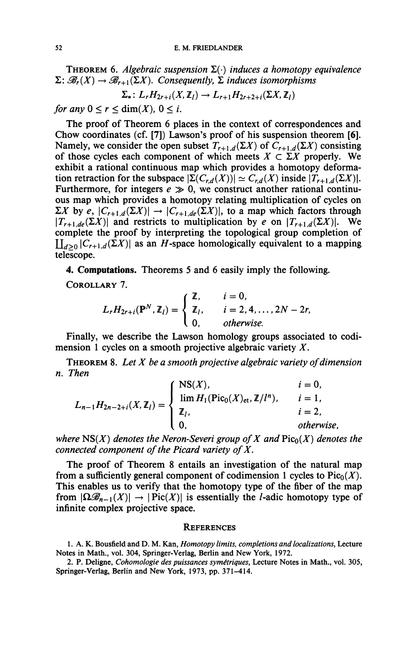**THEOREM** 6. *Algebraic suspension*  $\Sigma(\cdot)$  *induces a homotopy equivalence*  $\Sigma: \mathcal{B}_r(X) \to \mathcal{B}_{r+1}(\Sigma X)$ . Consequently,  $\Sigma$  induces isomorphisms

$$
\Sigma_*\colon L_rH_{2r+i}(X,\mathbb{Z}_l)\to L_{r+1}H_{2r+2+i}(\Sigma X,\mathbb{Z}_l)
$$

for any  $0 \le r \le \dim(X)$ ,  $0 \le i$ .

The proof of Theorem 6 places in the context of correspondences and Chow coordinates (cf. [7]) Lawson's proof of his suspension theorem [6]. Namely, we consider the open subset  $T_{r+1,d}(\Sigma X)$  of  $C_{r+1,d}(\Sigma X)$  consisting of those cycles each component of which meets  $X \subset \Sigma X$  properly. We exhibit a rational continuous map which provides a homotopy deformation retraction for the subspace  $|\Sigma(C_{r,d}(X))| \simeq C_{r,d}(X)$  inside  $|T_{r+1,d}(\Sigma X)|$ . Furthermore, for integers  $e \gg 0$ , we construct another rational continuous map which provides a homotopy relating multiplication of cycles on  $\sum X$  by *e*,  $|C_{r+1,d}(\Sigma X)| \rightarrow |C_{r+1,de}(\Sigma X)|$ , to a map which factors through  $\left|T_{r+1,de}(\Sigma X)\right|$  and restricts to multiplication by *e* on  $\left|T_{r+1,d}(\Sigma X)\right|$ . We complete the proof by interpreting the topological group completion of  $\coprod_{d>0} |C_{r+1,d}(\Sigma X)|$  as an *H*-space homologically equivalent to a mapping telescope.

**4. Computations.** Theorems 5 and 6 easily imply the following.

COROLLARY 7.

$$
L_r H_{2r+i}(\mathbf{P}^N, \mathbb{Z}_l) = \begin{cases} \mathbb{Z}, & i = 0, \\ \mathbb{Z}_l, & i = 2, 4, \ldots, 2N - 2r, \\ 0, & \text{otherwise.} \end{cases}
$$

Finally, we describe the Lawson homology groups associated to codimension 1 cycles on a smooth projective algebraic variety  $X$ .

 $\mathcal{F}$  and  $\mathcal{F}$  and  $\mathcal{F}$  are the Lawson homology groups associated to codimension 1 cycles on a smooth projective algebraic variety on *Them. Them. X*  $\mathbf{R}$  **8.**  $\mathbf{R}$  **8.**  $\mathbf{R}$  **8.**  $\mathbf{R}$  **be a smooth projective algebraic variety of dimension of dimension**  $\mathbf{R}$  **<b>c**  $\mathbf{R}$  **c**  $\mathbf{R}$  **c**  $\mathbf{R}$  **c**  $\mathbf{R}$  **c**  $\mathbf{R}$  **c**  $\mathbf{R}$  **c**  $\mathbf{R}$  **c** 

$$
L_{n-1}H_{2n-2+i}(X, \mathbb{Z}_l) = \begin{cases} \text{NS}(X), & i = 0, \\ \lim_{l \to \infty} H_1(\text{Pic}_0(X_{\text{et}}, \mathbb{Z}/l^n), & i = 1, \\ \mathbb{Z}_l, & i = 2, \\ 0, & otherwise, \end{cases}
$$

where  $NS(X)$  denotes the Neron-Severi group of X and  $Pic_0(X)$  denotes the *connected component of the Picard variety of X.* 

The proof of Theorem 8 entails an investigation of the natural map from a sufficiently general component of codimension 1 cycles to  $Pic_0(X)$ . This enables us to verify that the homotopy type of the fiber of the map from  $|\Omega \mathcal{B}_{n-1}(X)| \to |Pic(X)|$  is essentially the *l*-adic homotopy type of from  $|\text{mod }n| \leq \frac{1}{2}$  is essentially the *l* adic homotopy type of infinite complex projective space. infinite complex projective space.

## **REFERENCES**

**1. A. K. Bousfield and D. M. Kan,** *Homotopy limits, completions and localizations,* **Lecture Notes in Math., vol. 304, Springer-Verlag, Berlin and New York, 1972.** 

**2. P. Deligne,** *Cohomologie des puissances symétriques,* **Lecture Notes in Math., vol. 305, Springer-Verlag, Berlin and New York, 1973, pp. 371-414.**